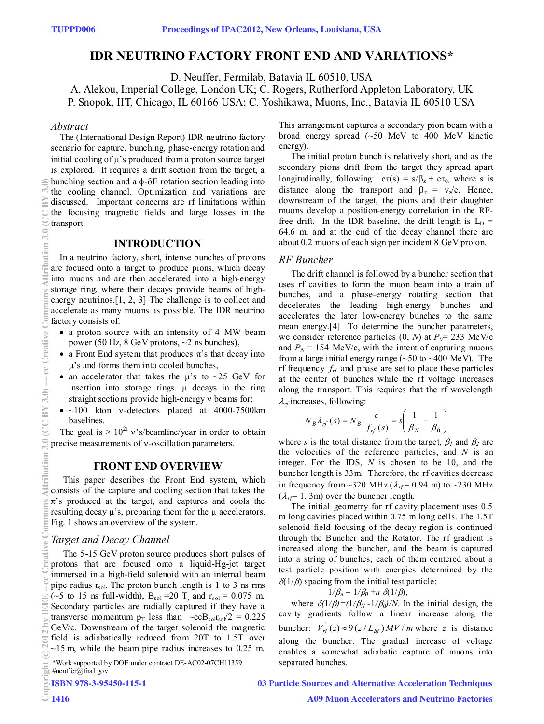# **IDR NEUTRINO FACTORY FRONT END AND VARIATIONS\***

D. Neuffer, Fermilab, Batavia IL 60510, USA

A. Alekou, Imperial College, London UK; C. Rogers, Rutherford Appleton Laboratory, UK P. Snopok, IIT, Chicago, IL 60166 USA; C. Yoshikawa, Muons, Inc., Batavia IL 60510 USA

# *Abstract*

 The (International Design Report) IDR neutrino factory scenario for capture, bunching, phase-energy rotation and initial cooling of  $\mu$ 's produced from a proton source target is explored. It requires a drift section from the target, a bunching section and a  $\phi$ - $\delta$ E rotation section leading into the cooling channel. Optimization and variations are discussed. Important concerns are rf limitations within the focusing magnetic fields and large losses in the transport.

# **INTRODUCTION**

In a neutrino factory, short, intense bunches of protons are focused onto a target to produce pions, which decay into muons and are then accelerated into a high-energy storage ring, where their decays provide beams of highenergy neutrinos.[1, 2, 3] The challenge is to collect and accelerate as many muons as possible. The IDR neutrino factory consists of:

- a proton source with an intensity of 4 MW beam power (50 Hz, 8 GeV protons,  $\sim$ 2 ns bunches),
- a Front End system that produces  $\pi$ 's that decay into  $\mu$ 's and forms them into cooled bunches,
- an accelerator that takes the  $\mu$ 's to ~25 GeV for insertion into storage rings.  $\mu$  decays in the ring straight sections provide high-energy v beams for:
- $~100$  kton v-detectors placed at 4000-7500 km baselines.

The goal is  $> 10^{21}$  v's/beamline/year in order to obtain precise measurements of v-oscillation parameters.

# **FRONT END OVERVIEW**

This paper describes the Front End system, which consists of the capture and cooling section that takes the  $\pi$ 's produced at the target, and captures and cools the resulting decay  $μ$ 's, preparing them for the  $μ$  accelerators. Fig. 1 shows an overview of the system.

# *Target and Decay Channel*

The 5-15 GeV proton source produces short pulses of protons that are focused onto a liquid-Hg-jet target immersed in a high-field solenoid with an internal beam pipe radius  $r_{sol}$ . The proton bunch length is 1 to 3 ns rms (~5 to 15 ns full-width),  $B_{sol} = 20$  T and  $r_{sol} = 0.075$  m. Secondary particles are radially captured if they have a transverse momentum  $p_T$  less than  $\sim$ ecB<sub>sol</sub>r<sub>sol</sub>/2 = 0.225 GeV/c. Downstream of the target solenoid the magnetic field is adiabatically reduced from 20T to 1.5T over  $\sim$ 15 m, while the beam pipe radius increases to 0.25 m. (0°C MA O O) 0°C u09nq[14] of Suommoo 0.3.3 (u0410 3.0 - (0°C MA O O) 0°C u09nq[14] of Cereative Common Attribution 3.0 (ZC BY 4.0) → common Sa ZTO attribution 3.0 (ZC BY 3.0) → cc creative Common Sa ZTO 3.0 (CC BY 3.0)

This arrangement captures a secondary pion beam with a broad energy spread (~50 MeV to 400 MeV kinetic energy).

The initial proton bunch is relatively short, and as the secondary pions drift from the target they spread apart longitudinally, following:  $c\tau(s) = s/\beta_z + c\tau_0$ , where s is distance along the transport and  $\beta_z = v_z/c$ . Hence, downstream of the target, the pions and their daughter muons develop a position-energy correlation in the RFfree drift. In the IDR baseline, the drift length is  $L<sub>D</sub>$  = 64.6 m, and at the end of the decay channel there are about 0.2 muons of each sign per incident 8 GeV proton.

#### *RF Buncher*

The drift channel is followed by a buncher section that uses rf cavities to form the muon beam into a train of bunches, and a phase-energy rotating section that decelerates the leading high-energy bunches and accelerates the later low-energy bunches to the same mean energy.[4] To determine the buncher parameters, we consider reference particles  $(0, N)$  at  $P_0 = 233$  MeV/c and  $P_N$  = 154 MeV/c, with the intent of capturing muons from a large initial energy range  $(\sim 50$  to  $\sim 400$  MeV). The rf frequency  $f_{rf}$  and phase are set to place these particles at the center of bunches while the rf voltage increases along the transport. This requires that the rf wavelength  $\lambda_{rf}$  increases, following:

$$
N_B \lambda_{rf}(s) = N_B \frac{c}{f_{rf}(s)} = s \left( \frac{1}{\beta_N} - \frac{1}{\beta_0} \right)
$$

where *s* is the total distance from the target,  $\beta_l$  and  $\beta_2$  are the velocities of the reference particles, and *N* is an integer. For the IDS, *N* is chosen to be 10, and the buncher length is 33m. Therefore, the rf cavities decrease in frequency from  $\sim$ 320 MHz ( $\lambda_{rf}$  = 0.94 m) to  $\sim$ 230 MHz  $(\lambda_{rf} = 1.3 \text{m})$  over the buncher length.

The initial geometry for rf cavity placement uses 0.5 m long cavities placed within 0.75 m long cells. The 1.5T solenoid field focusing of the decay region is continued through the Buncher and the Rotator. The rf gradient is increased along the buncher, and the beam is captured into a string of bunches, each of them centered about a test particle position with energies determined by the  $\delta(1/\beta)$  spacing from the initial test particle:

$$
1/\beta_n = 1/\beta_0 + n \delta(1/\beta),
$$

where  $\delta(1/\beta) = (1/\beta_N - 1/\beta_0)/N$ . In the initial design, the cavity gradients follow a linear increase along the buncher:  $V_{rf}(z) \approx 9(z/L_{Bf})MV/m$  where *z* is distance along the buncher. The gradual increase of voltage enables a somewhat adiabatic capture of muons into

03 Particle Sources and Alternative Acceleration Techniques

 $2$ ommo

<sup>\*</sup>Work supported by DOE under contract DE-AC02-07CH11359. Separated bunches.

<sup>#</sup>neuffer@fnal.gov ISBN 978-3-95450-115-1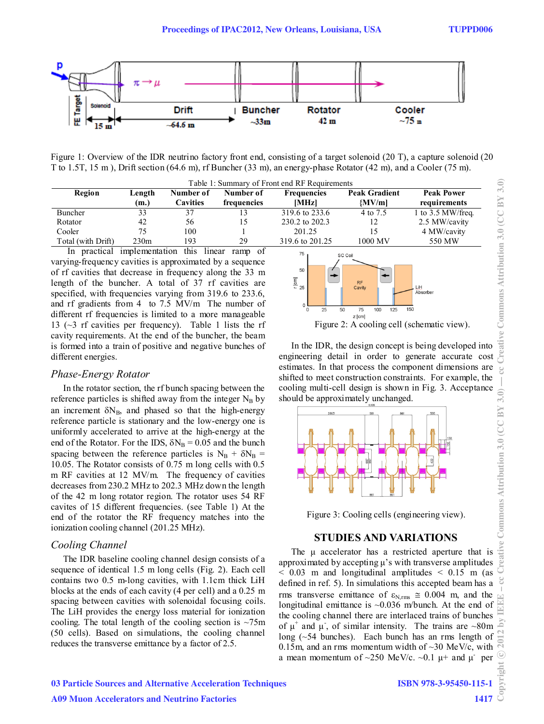

Figure 1: Overview of the IDR neutrino factory front end, consisting of a target solenoid (20 T), a capture solenoid (20 T to 1.5T, 15 m ), Drift section (64.6 m), rf Buncher (33 m), an energy-phase Rotator (42 m), and a Cooler (75 m).

| Table 1: Summary of Front end RF Requirements |                |                              |                          |                             |                                  |                                   |
|-----------------------------------------------|----------------|------------------------------|--------------------------|-----------------------------|----------------------------------|-----------------------------------|
| Region                                        | Length<br>(m.) | Number of<br><b>Cavities</b> | Number of<br>frequencies | <b>Frequencies</b><br>[MHz] | <b>Peak Gradient</b><br>${MVMm}$ | <b>Peak Power</b><br>requirements |
| Buncher                                       | 33             | 37                           |                          | 319.6 to 233.6              | 4 to 7.5                         | 1 to $3.5$ MW/freq.               |
| Rotator                                       | 42             | 56                           | 15                       | 230.2 to 202.3              | 12                               | 2.5 MW/cavity                     |
| Cooler                                        | 75             | 100                          |                          | 201.25                      | 15                               | 4 MW/cavity                       |
| Total (with Drift)                            | 230m           | 193                          | 29                       | 319.6 to 201.25             | 1000 MV                          | 550 MW                            |

In practical implementation this linear ramp of varying-frequency cavities is approximated by a sequence of rf cavities that decrease in frequency along the 33 m length of the buncher. A total of 37 rf cavities are specified, with frequencies varying from 319.6 to 233.6, and rf gradients from 4 to 7.5 MV/m The number of different rf frequencies is limited to a more manageable 13 ( $\sim$ 3 rf cavities per frequency). Table 1 lists the rf cavity requirements. At the end of the buncher, the beam is formed into a train of positive and negative bunches of different energies.

#### *Phase-Energy Rotator*

In the rotator section, the rf bunch spacing between the reference particles is shifted away from the integer  $N_B$  by an increment  $\delta N_B$ , and phased so that the high-energy reference particle is stationary and the low-energy one is uniformly accelerated to arrive at the high-energy at the end of the Rotator. For the IDS,  $\delta N_B = 0.05$  and the bunch spacing between the reference particles is  $N_B + \delta N_B$  = 10.05. The Rotator consists of 0.75 m long cells with 0.5 m RF cavities at 12 MV/m. The frequency of cavities decreases from 230.2 MHz to 202.3 MHz down the length of the 42 m long rotator region. The rotator uses 54 RF cavites of 15 different frequencies. (see Table 1) At the end of the rotator the RF frequency matches into the ionization cooling channel (201.25 MHz).

#### *Cooling Channel*

The IDR baseline cooling channel design consists of a sequence of identical 1.5 m long cells (Fig. 2). Each cell contains two 0.5 m-long cavities, with 1.1cm thick LiH blocks at the ends of each cavity (4 per cell) and a 0.25 m spacing between cavities with solenoidal focusing coils. The LiH provides the energy loss material for ionization cooling. The total length of the cooling section is  $\sim$ 75m (50 cells). Based on simulations, the cooling channel reduces the transverse emittance by a factor of 2.5.



In the IDR, the design concept is being developed into engineering detail in order to generate accurate cost estimates. In that process the component dimensions are shifted to meet construction constraints. For example, the cooling multi-cell design is shown in Fig. 3. Acceptance should be approximately unchanged.



Figure 3: Cooling cells (engineering view).

#### **STUDIES AND VARIATIONS**

The μ accelerator has a restricted aperture that is approximated by accepting μ's with transverse amplitudes  $< 0.03$  m and longitudinal amplitudes  $< 0.15$  m (as defined in ref. 5). In simulations this accepted beam has a rms transverse emittance of  $\varepsilon_{N,\text{rms}} \approx 0.004$  m, and the longitudinal emittance is ~0.036 m/bunch. At the end of the cooling channel there are interlaced trains of bunches of  $\mu^+$  and  $\mu^-$ , of similar intensity. The trains are ~80m long (~54 bunches). Each bunch has an rms length of 0.15m, and an rms momentum width of  $\sim$ 30 MeV/c, with a mean momentum of ~250 MeV/c. ~0.1  $\mu$ + and  $\mu$ <sup>-</sup> per